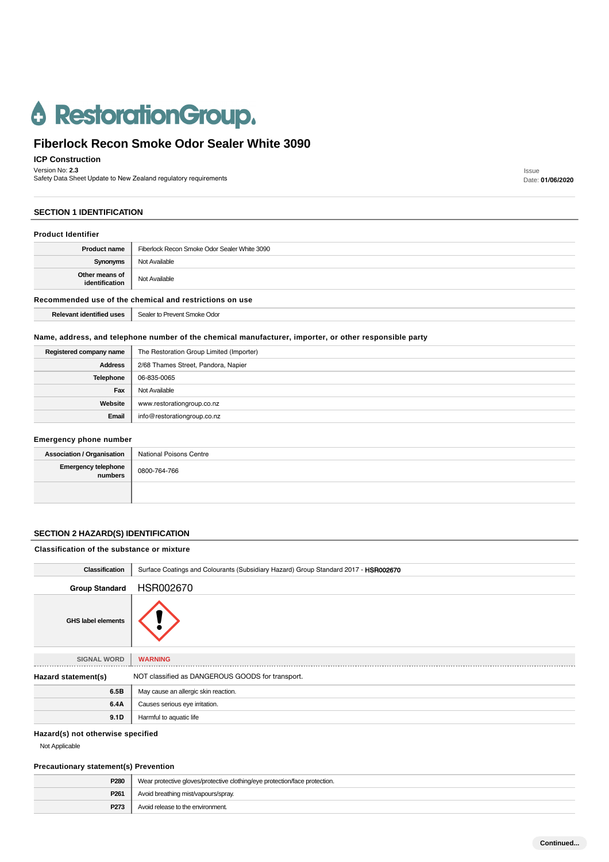# **6 RestorationGroup.**

## **Fiberlock Recon Smoke Odor Sealer White 3090**

**ICP Construction**

Version No: **2.3**

Safety Data Sheet Update to New Zealand regulatory requirements

#### **SECTION 1 IDENTIFICATION**

| <b>Product Identifier</b>                               |                                              |  |
|---------------------------------------------------------|----------------------------------------------|--|
| <b>Product name</b>                                     | Fiberlock Recon Smoke Odor Sealer White 3090 |  |
| Synonyms                                                | Not Available                                |  |
| Other means of<br>identification                        | Not Available                                |  |
| Recommended use of the chemical and restrictions on use |                                              |  |
| <b>Relevant identified uses</b>                         | Sealer to Prevent Smoke Odor                 |  |

## **Name, address, and telephone number of the chemical manufacturer, importer, or other responsible party**

| Registered company name | The Restoration Group Limited (Importer) |
|-------------------------|------------------------------------------|
| <b>Address</b>          | 2/68 Thames Street, Pandora, Napier      |
| <b>Telephone</b>        | 06-835-0065                              |
| Fax                     | Not Available                            |
| Website                 | www.restorationgroup.co.nz               |
| Email                   | info@restorationgroup.co.nz              |

#### **Emergency phone number**

| Association / Organisation   National Poisons Centre |              |
|------------------------------------------------------|--------------|
| Emergency telephone<br>numbers                       | 0800-764-766 |
|                                                      |              |

## **SECTION 2 HAZARD(S) IDENTIFICATION**

| Classification of the substance or mixture |                                                                                     |
|--------------------------------------------|-------------------------------------------------------------------------------------|
| <b>Classification</b>                      | Surface Coatings and Colourants (Subsidiary Hazard) Group Standard 2017 - HSR002670 |
| <b>Group Standard</b>                      | HSR002670                                                                           |
| <b>GHS label elements</b>                  |                                                                                     |
| <b>SIGNAL WORD</b>                         | <b>WARNING</b>                                                                      |
| Hazard statement(s)                        | NOT classified as DANGEROUS GOODS for transport.                                    |
| 6.5B                                       | May cause an allergic skin reaction.                                                |
| 6.4A                                       | Causes serious eye irritation.                                                      |
| 9.1D                                       | Harmful to aquatic life                                                             |

#### **Hazard(s) not otherwise specified**

Not Applicable

## **Precautionary statement(s) Prevention**

| <b>P280</b>      | Wear protective gloves/protective clothing/eye protection/face protection. |  |
|------------------|----------------------------------------------------------------------------|--|
| P <sub>261</sub> | Avoid breathing mist/vapours/spray.                                        |  |
| P273             | Avoid release to the environment.                                          |  |

Issue Date: **01/06/2020**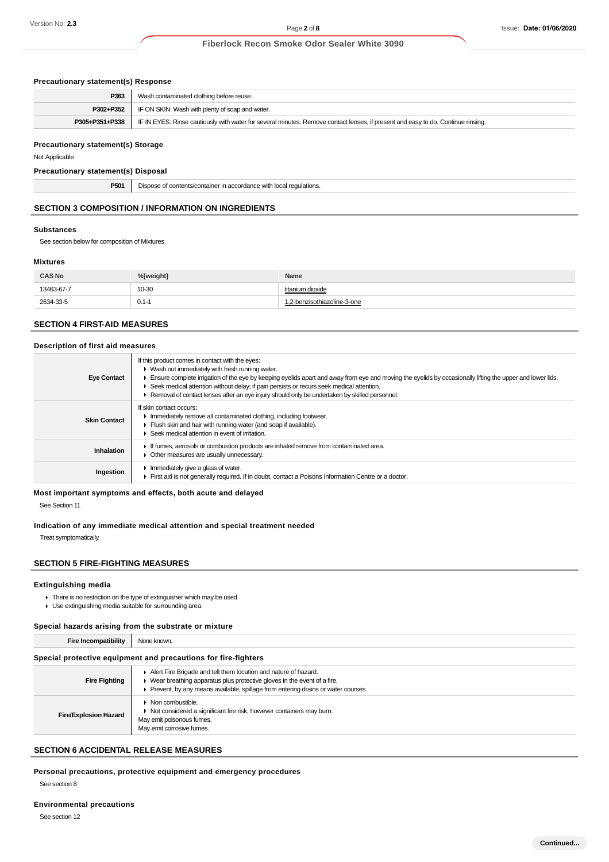#### **Precautionary statement(s) Response**

| P363           | Wash contaminated clothing before reuse.                                                                                         |
|----------------|----------------------------------------------------------------------------------------------------------------------------------|
| P302+P352      | IF ON SKIN: Wash with plenty of soap and water.                                                                                  |
| P305+P351+P338 | IF IN EYES: Rinse cautiously with water for several minutes. Remove contact lenses, if present and easy to do. Continue rinsing. |

#### **Precautionary statement(s) Storage**

Not Applicable

#### **Precautionary statement(s) Disposal**

| DE <sub>0</sub> | eauranons   |
|-----------------|-------------|
|                 | <b>VVII</b> |
|                 |             |

## **SECTION 3 COMPOSITION / INFORMATION ON INGREDIENTS**

#### **Substances**

See section below for composition of Mixtures

#### **Mixtures**

| <b>CAS No</b> | %[weight] | Name                        |
|---------------|-----------|-----------------------------|
| 13463-67-7    | 10-30     | titanium dioxide            |
| 2634-33-5     | $0.1 - 1$ | 1.2-benzisothiazoline-3-one |

#### **SECTION 4 FIRST-AID MEASURES**

#### **Description of first aid measures**

| <b>Eye Contact</b>  | If this product comes in contact with the eyes:<br>• Wash out immediately with fresh running water.<br>Ensure complete irrigation of the eye by keeping eyelids apart and away from eye and moving the eyelids by occasionally lifting the upper and lower lids.<br>► Seek medical attention without delay; if pain persists or recurs seek medical attention.<br>► Removal of contact lenses after an eye injury should only be undertaken by skilled personnel. |
|---------------------|-------------------------------------------------------------------------------------------------------------------------------------------------------------------------------------------------------------------------------------------------------------------------------------------------------------------------------------------------------------------------------------------------------------------------------------------------------------------|
| <b>Skin Contact</b> | If skin contact occurs:<br>In mediately remove all contaminated clothing, including footwear.<br>Flush skin and hair with running water (and soap if available).<br>▶ Seek medical attention in event of irritation.                                                                                                                                                                                                                                              |
| <b>Inhalation</b>   | If fumes, aerosols or combustion products are inhaled remove from contaminated area.<br>• Other measures are usually unnecessary.                                                                                                                                                                                                                                                                                                                                 |
| Ingestion           | $\blacktriangleright$ Immediately give a glass of water.<br>First aid is not generally required. If in doubt, contact a Poisons Information Centre or a doctor.                                                                                                                                                                                                                                                                                                   |

#### **Most important symptoms and effects, both acute and delayed**

See Section 11

#### **Indication of any immediate medical attention and special treatment needed**

Treat symptomatically.

#### **SECTION 5 FIRE-FIGHTING MEASURES**

#### **Extinguishing media**

- $\blacktriangleright$  There is no restriction on the type of extinguisher which may be used.
- Use extinguishing media suitable for surrounding area.

#### **Special hazards arising from the substrate or mixture**

**Fire Incompatibility** None known.

#### **Special protective equipment and precautions for fire-fighters**

| <b>Fire Fighting</b>         | Alert Fire Brigade and tell them location and nature of hazard.<br>$\blacktriangleright$ Wear breathing apparatus plus protective gloves in the event of a fire.<br>Prevent, by any means available, spillage from entering drains or water courses. |
|------------------------------|------------------------------------------------------------------------------------------------------------------------------------------------------------------------------------------------------------------------------------------------------|
| <b>Fire/Explosion Hazard</b> | $\blacktriangleright$ Non combustible.<br>• Not considered a significant fire risk, however containers may burn.<br>May emit poisonous fumes.<br>May emit corrosive fumes.                                                                           |

## **SECTION 6 ACCIDENTAL RELEASE MEASURES**

**Personal precautions, protective equipment and emergency procedures**

See section 8

#### **Environmental precautions**

See section 12

**Continued...**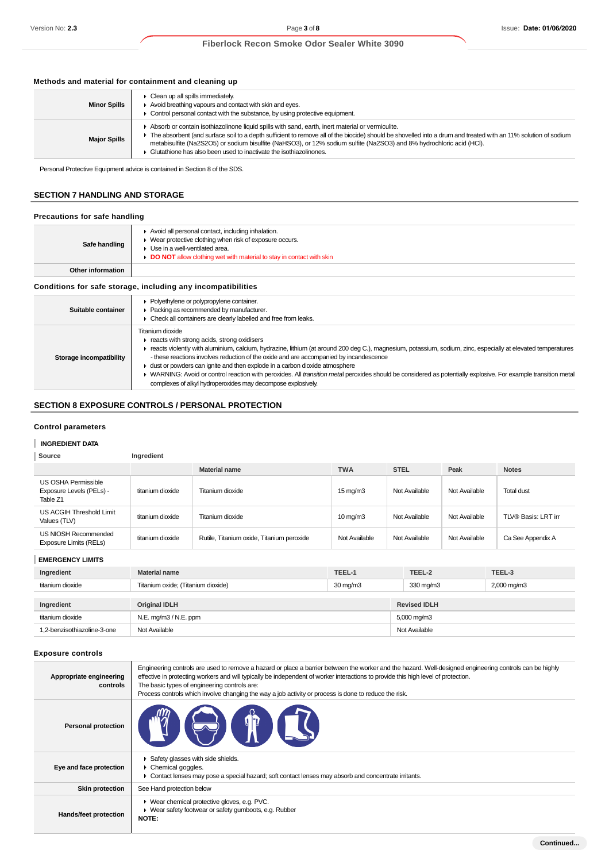#### **Methods and material for containment and cleaning up**

| <b>Minor Spills</b> | $\triangleright$ Clean up all spills immediately.<br>Avoid breathing vapours and contact with skin and eyes.<br>• Control personal contact with the substance, by using protective equipment.                                                                                                                                                                                                                                                                        |
|---------------------|----------------------------------------------------------------------------------------------------------------------------------------------------------------------------------------------------------------------------------------------------------------------------------------------------------------------------------------------------------------------------------------------------------------------------------------------------------------------|
| <b>Major Spills</b> | Absorb or contain isothiazolinone liquid spills with sand, earth, inert material or vermiculite.<br>F The absorbent (and surface soil to a depth sufficient to remove all of the biocide) should be shovelled into a drum and treated with an 11% solution of sodium<br>metabisulfite (Na2S2O5) or sodium bisulfite (NaHSO3), or 12% sodium sulfite (Na2SO3) and 8% hydrochloric acid (HCI).<br>► Glutathione has also been used to inactivate the isothiazolinones. |

Personal Protective Equipment advice is contained in Section 8 of the SDS.

## **SECTION 7 HANDLING AND STORAGE**

## **Precautions for safe handling**

| Safe handling                                                | Avoid all personal contact, including inhalation.<br>• Wear protective clothing when risk of exposure occurs.<br>$\blacktriangleright$ Use in a well-ventilated area.<br>DO NOT allow clothing wet with material to stay in contact with skin |  |
|--------------------------------------------------------------|-----------------------------------------------------------------------------------------------------------------------------------------------------------------------------------------------------------------------------------------------|--|
| Other information                                            |                                                                                                                                                                                                                                               |  |
| Conditions for safe storage, including any incompatibilities |                                                                                                                                                                                                                                               |  |
| Suitable container                                           | • Polyethylene or polypropylene container.<br>▶ Packing as recommended by manufacturer.<br>• Check all containers are clearly labelled and free from leaks.                                                                                   |  |
|                                                              | Titanium dioxide<br>F reacts with strong acids, strong oxidisers<br>$\epsilon$ reacte violently with aluminium colojum bydrazine lithium (ot eround 200 deg C) megnesium petersium sodium zine especially at elevated temperatures            |  |

- **Storage incompatibility** reacts violently with aluminium, calcium, hydrazine, lithium (at around 200 deg C.), magnesium, potassium, sodium, zinc, especially at elevated temperatures - these reactions involves reduction of the oxide and are accompanied by incandescence
	- dust or powders can ignite and then explode in a carbon dioxide atmosphere
	- MARNING: Avoid or control reaction with peroxides. All transition metal peroxides should be considered as potentially explosive. For example transition metal complexes of alkyl hydroperoxides may decompose explosively.

#### **SECTION 8 EXPOSURE CONTROLS / PERSONAL PROTECTION**

#### **Control parameters**

## **INGREDIENT DATA**

| Source                                                      | Ingredient       |                                           |                   |               |               |                     |
|-------------------------------------------------------------|------------------|-------------------------------------------|-------------------|---------------|---------------|---------------------|
|                                                             |                  | <b>Material name</b>                      | <b>TWA</b>        | <b>STEL</b>   | Peak          | <b>Notes</b>        |
| US OSHA Permissible<br>Exposure Levels (PELs) -<br>Table Z1 | titanium dioxide | Titanium dioxide                          | $15 \text{ mg/m}$ | Not Available | Not Available | <b>Total dust</b>   |
| US ACGIH Threshold Limit<br>Values (TLV)                    | titanium dioxide | Titanium dioxide                          | $10 \text{ mg/m}$ | Not Available | Not Available | TLV® Basis: LRT irr |
| US NIOSH Recommended<br>Exposure Limits (RELs)              | titanium dioxide | Rutile, Titanium oxide, Titanium peroxide | Not Available     | Not Available | Not Available | Ca See Appendix A   |

#### **EMERGENCY LIMITS**

| Ingredient                  | <b>Material name</b>                   | TEEL-1            | TEEL-2                  | TEEL-3      |
|-----------------------------|----------------------------------------|-------------------|-------------------------|-------------|
| titanium dioxide            | Titanium oxide; (Titanium dioxide)     | $30 \text{ mg/m}$ | 330 mg/m3               | 2,000 mg/m3 |
|                             |                                        |                   |                         |             |
| Ingredient                  | <b>Original IDLH</b>                   |                   | <b>Revised IDLH</b>     |             |
| titanium dioxide            | N.E. mg/m3 / N.E. ppm<br>Not Available |                   | $5,000 \,\mathrm{mg/m}$ |             |
| 1.2-benzisothiazoline-3-one |                                        |                   | Not Available           |             |

#### **Exposure controls**

| Appropriate engineering<br>controls | Engineering controls are used to remove a hazard or place a barrier between the worker and the hazard. Well-designed engineering controls can be highly<br>effective in protecting workers and will typically be independent of worker interactions to provide this high level of protection.<br>The basic types of engineering controls are:<br>Process controls which involve changing the way a job activity or process is done to reduce the risk. |
|-------------------------------------|--------------------------------------------------------------------------------------------------------------------------------------------------------------------------------------------------------------------------------------------------------------------------------------------------------------------------------------------------------------------------------------------------------------------------------------------------------|
| <b>Personal protection</b>          |                                                                                                                                                                                                                                                                                                                                                                                                                                                        |
| Eye and face protection             | Safety glasses with side shields.<br>$\triangleright$ Chemical goggles.<br>• Contact lenses may pose a special hazard; soft contact lenses may absorb and concentrate irritants.                                                                                                                                                                                                                                                                       |
| <b>Skin protection</b>              | See Hand protection below                                                                                                                                                                                                                                                                                                                                                                                                                              |
| Hands/feet protection               | ▶ Wear chemical protective gloves, e.g. PVC.<br>▶ Wear safety footwear or safety gumboots, e.g. Rubber<br><b>NOTE:</b>                                                                                                                                                                                                                                                                                                                                 |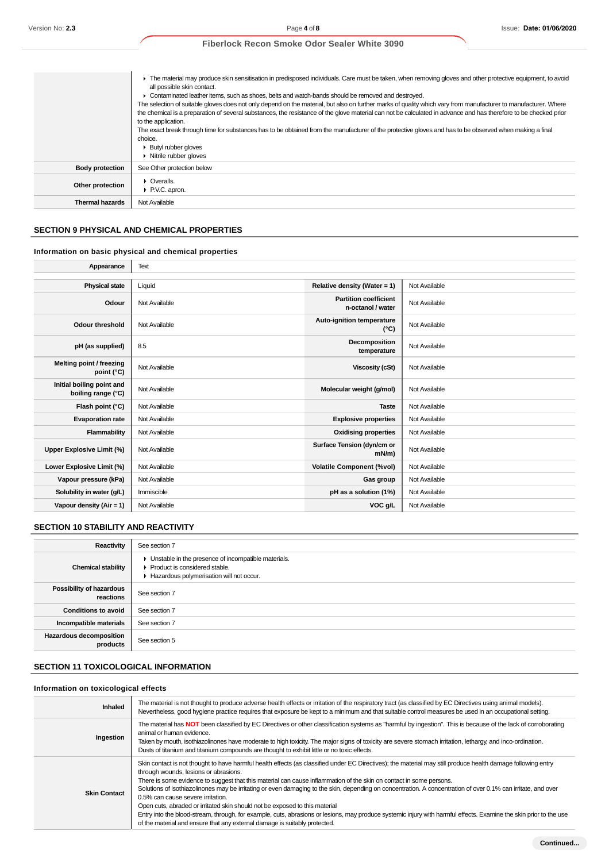|                        | • The material may produce skin sensitisation in predisposed individuals. Care must be taken, when removing gloves and other protective equipment, to avoid<br>all possible skin contact. |
|------------------------|-------------------------------------------------------------------------------------------------------------------------------------------------------------------------------------------|
|                        | • Contaminated leather items, such as shoes, belts and watch-bands should be removed and destroyed.                                                                                       |
|                        | The selection of suitable gloves does not only depend on the material, but also on further marks of quality which vary from manufacturer to manufacturer. Where                           |
|                        | the chemical is a preparation of several substances, the resistance of the glove material can not be calculated in advance and has therefore to be checked prior                          |
|                        | to the application.                                                                                                                                                                       |
|                        | The exact break through time for substances has to be obtained from the manufacturer of the protective gloves and has to be observed when making a final                                  |
|                        | choice.                                                                                                                                                                                   |
|                        | ▶ Butyl rubber gloves                                                                                                                                                                     |
|                        | • Nitrile rubber gloves                                                                                                                                                                   |
| <b>Body protection</b> | See Other protection below                                                                                                                                                                |
|                        | $\triangleright$ Overalls.                                                                                                                                                                |
| Other protection       | P.V.C. apron.                                                                                                                                                                             |
| <b>Thermal hazards</b> | Not Available                                                                                                                                                                             |

## **SECTION 9 PHYSICAL AND CHEMICAL PROPERTIES**

## **Information on basic physical and chemical properties**

| Appearance                                      | Text          |                                                   |               |
|-------------------------------------------------|---------------|---------------------------------------------------|---------------|
|                                                 |               |                                                   |               |
| <b>Physical state</b>                           | Liquid        | Relative density (Water = 1)                      | Not Available |
| Odour                                           | Not Available | <b>Partition coefficient</b><br>n-octanol / water | Not Available |
| Odour threshold                                 | Not Available | Auto-ignition temperature<br>$(^{\circ}C)$        | Not Available |
| pH (as supplied)                                | 8.5           | Decomposition<br>temperature                      | Not Available |
| Melting point / freezing<br>point (°C)          | Not Available | <b>Viscosity (cSt)</b>                            | Not Available |
| Initial boiling point and<br>boiling range (°C) | Not Available | Molecular weight (g/mol)                          | Not Available |
| Flash point (°C)                                | Not Available | <b>Taste</b>                                      | Not Available |
| <b>Evaporation rate</b>                         | Not Available | <b>Explosive properties</b>                       | Not Available |
| Flammability                                    | Not Available | <b>Oxidising properties</b>                       | Not Available |
| <b>Upper Explosive Limit (%)</b>                | Not Available | Surface Tension (dyn/cm or<br>$mN/m$ )            | Not Available |
| Lower Explosive Limit (%)                       | Not Available | <b>Volatile Component (%vol)</b>                  | Not Available |
| Vapour pressure (kPa)                           | Not Available | Gas group                                         | Not Available |
| Solubility in water (g/L)                       | Immiscible    | pH as a solution (1%)                             | Not Available |
| Vapour density (Air = 1)                        | Not Available | VOC g/L                                           | Not Available |
|                                                 |               |                                                   |               |

## **SECTION 10 STABILITY AND REACTIVITY**

| Reactivity                            | See section 7                                                                                                                    |
|---------------------------------------|----------------------------------------------------------------------------------------------------------------------------------|
| <b>Chemical stability</b>             | Unstable in the presence of incompatible materials.<br>Product is considered stable.<br>Hazardous polymerisation will not occur. |
| Possibility of hazardous<br>reactions | See section 7                                                                                                                    |
| <b>Conditions to avoid</b>            | See section 7                                                                                                                    |
| Incompatible materials                | See section 7                                                                                                                    |
| Hazardous decomposition<br>products   | See section 5                                                                                                                    |

## **SECTION 11 TOXICOLOGICAL INFORMATION**

## **Information on toxicological effects**

| <b>Inhaled</b>      | The material is not thought to produce adverse health effects or irritation of the respiratory tract (as classified by EC Directives using animal models).<br>Nevertheless, good hygiene practice requires that exposure be kept to a minimum and that suitable control measures be used in an occupational setting.                                                                                                                                                                                                                                                                                                                                                                                                                                                                                                                                                  |
|---------------------|-----------------------------------------------------------------------------------------------------------------------------------------------------------------------------------------------------------------------------------------------------------------------------------------------------------------------------------------------------------------------------------------------------------------------------------------------------------------------------------------------------------------------------------------------------------------------------------------------------------------------------------------------------------------------------------------------------------------------------------------------------------------------------------------------------------------------------------------------------------------------|
| Ingestion           | The material has NOT been classified by EC Directives or other classification systems as "harmful by ingestion". This is because of the lack of corroborating<br>animal or human evidence.<br>Taken by mouth, isothiazolinones have moderate to high toxicity. The major signs of toxicity are severe stomach irritation, lethargy, and inco-ordination.<br>Dusts of titanium and titanium compounds are thought to exhibit little or no toxic effects.                                                                                                                                                                                                                                                                                                                                                                                                               |
| <b>Skin Contact</b> | Skin contact is not thought to have harmful health effects (as classified under EC Directives); the material may still produce health damage following entry<br>through wounds, lesions or abrasions.<br>There is some evidence to suggest that this material can cause inflammation of the skin on contact in some persons.<br>Solutions of isothiazolinones may be irritating or even damaging to the skin, depending on concentration. A concentration of over 0.1% can irritate, and over<br>0.5% can cause severe irritation.<br>Open cuts, abraded or irritated skin should not be exposed to this material<br>Entry into the blood-stream, through, for example, cuts, abrasions or lesions, may produce systemic injury with harmful effects. Examine the skin prior to the use<br>of the material and ensure that any external damage is suitably protected. |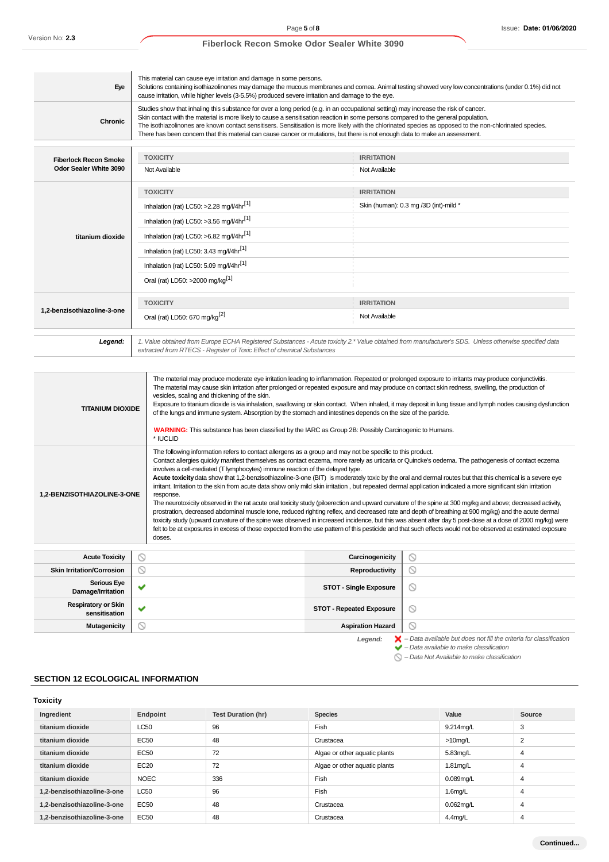| Eye                          | This material can cause eye irritation and damage in some persons.<br>Solutions containing isothiazolinones may damage the mucous membranes and comea. Animal testing showed very low concentrations (under 0.1%) did not<br>cause irritation, while higher levels (3-5.5%) produced severe irritation and damage to the eye.                                                                                                                                                                                                                                          |                                       |
|------------------------------|------------------------------------------------------------------------------------------------------------------------------------------------------------------------------------------------------------------------------------------------------------------------------------------------------------------------------------------------------------------------------------------------------------------------------------------------------------------------------------------------------------------------------------------------------------------------|---------------------------------------|
| <b>Chronic</b>               | Studies show that inhaling this substance for over a long period (e.g. in an occupational setting) may increase the risk of cancer.<br>Skin contact with the material is more likely to cause a sensitisation reaction in some persons compared to the general population.<br>The isothiazolinones are known contact sensitisers. Sensitisation is more likely with the chlorinated species as opposed to the non-chlorinated species.<br>There has been concern that this material can cause cancer or mutations, but there is not enough data to make an assessment. |                                       |
|                              |                                                                                                                                                                                                                                                                                                                                                                                                                                                                                                                                                                        |                                       |
| <b>Fiberlock Recon Smoke</b> | <b>TOXICITY</b>                                                                                                                                                                                                                                                                                                                                                                                                                                                                                                                                                        | <b>IRRITATION</b>                     |
| Odor Sealer White 3090       | Not Available                                                                                                                                                                                                                                                                                                                                                                                                                                                                                                                                                          | Not Available                         |
|                              | <b>TOXICITY</b>                                                                                                                                                                                                                                                                                                                                                                                                                                                                                                                                                        | <b>IRRITATION</b>                     |
|                              | Inhalation (rat) LC50: >2.28 mg/l/4hr <sup>[1]</sup>                                                                                                                                                                                                                                                                                                                                                                                                                                                                                                                   | Skin (human): 0.3 mg /3D (int)-mild * |
|                              | Inhalation (rat) LC50: >3.56 mg/l/4hr <sup>[1]</sup>                                                                                                                                                                                                                                                                                                                                                                                                                                                                                                                   |                                       |
| titanium dioxide             | Inhalation (rat) LC50: >6.82 mg/l/4hr[1]                                                                                                                                                                                                                                                                                                                                                                                                                                                                                                                               |                                       |
|                              | Inhalation (rat) LC50: 3.43 mg/l/4hr <sup>[1]</sup>                                                                                                                                                                                                                                                                                                                                                                                                                                                                                                                    |                                       |
|                              | Inhalation (rat) LC50: 5.09 mg/l/4hr[1]                                                                                                                                                                                                                                                                                                                                                                                                                                                                                                                                |                                       |
|                              | Oral (rat) LD50: >2000 mg/kg <sup>[1]</sup>                                                                                                                                                                                                                                                                                                                                                                                                                                                                                                                            |                                       |
|                              | <b>TOXICITY</b>                                                                                                                                                                                                                                                                                                                                                                                                                                                                                                                                                        | <b>IRRITATION</b>                     |
| 1,2-benzisothiazoline-3-one  | Oral (rat) LD50: 670 mg/kg <sup>[2]</sup>                                                                                                                                                                                                                                                                                                                                                                                                                                                                                                                              | Not Available                         |
| Legend:                      | 1. Value obtained from Europe ECHA Registered Substances - Acute toxicity 2.* Value obtained from manufacturer's SDS. Unless otherwise specified data<br>extracted from RTECS - Register of Toxic Effect of chemical Substances                                                                                                                                                                                                                                                                                                                                        |                                       |
|                              |                                                                                                                                                                                                                                                                                                                                                                                                                                                                                                                                                                        |                                       |
|                              | The material may produce moderate eye irritation leading to inflammation. Repeated or prolonged exposure to irritants may produce conjunctivitis.<br>The material may cause skin irritation after prolonged or repeated exposure and may produce on contact skin redness, swelling, the production of                                                                                                                                                                                                                                                                  |                                       |

|                                                                                                                                                                                                                                                                                                                                                                                                                                                                                                                                                                                                                                                                                                                                                                                                                                                                                                                                                                                                                                                                                                                                                                                                                                                                                                                                                                                        | The material may cause skin irritation after prolonged or repeated exposure and may produce on contact skin redness, swelling, the production of<br>vesicles, scaling and thickening of the skin.<br>Exposure to titanium dioxide is via inhalation, swallowing or skin contact. When inhaled, it may deposit in lung tissue and lymph nodes causing dysfunction<br><b>TITANIUM DIOXIDE</b><br>of the lungs and immune system. Absorption by the stomach and intestines depends on the size of the particle.<br><b>WARNING:</b> This substance has been classified by the IARC as Group 2B: Possibly Carcinogenic to Humans.<br>* IUCLID |                                 |                                                                                                                                                           |
|----------------------------------------------------------------------------------------------------------------------------------------------------------------------------------------------------------------------------------------------------------------------------------------------------------------------------------------------------------------------------------------------------------------------------------------------------------------------------------------------------------------------------------------------------------------------------------------------------------------------------------------------------------------------------------------------------------------------------------------------------------------------------------------------------------------------------------------------------------------------------------------------------------------------------------------------------------------------------------------------------------------------------------------------------------------------------------------------------------------------------------------------------------------------------------------------------------------------------------------------------------------------------------------------------------------------------------------------------------------------------------------|------------------------------------------------------------------------------------------------------------------------------------------------------------------------------------------------------------------------------------------------------------------------------------------------------------------------------------------------------------------------------------------------------------------------------------------------------------------------------------------------------------------------------------------------------------------------------------------------------------------------------------------|---------------------------------|-----------------------------------------------------------------------------------------------------------------------------------------------------------|
| The following information refers to contact allergens as a group and may not be specific to this product.<br>Contact allergies quickly manifest themselves as contact eczema, more rarely as urticaria or Quincke's oedema. The pathogenesis of contact eczema<br>involves a cell-mediated (T lymphocytes) immune reaction of the delayed type.<br>Acute toxicity data show that 1,2-benzisothiazoline-3-one (BIT) is moderately toxic by the oral and dermal routes but that this chemical is a severe eye<br>irritant. Irritation to the skin from acute data show only mild skin irritation, but repeated dermal application indicated a more significant skin irritation<br>1,2-BENZISOTHIAZOLINE-3-ONE<br>response.<br>The neurotoxicity observed in the rat acute oral toxicity study (piloerection and upward curvature of the spine at 300 mg/kg and above; decreased activity,<br>prostration, decreased abdominal muscle tone, reduced righting reflex, and decreased rate and depth of breathing at 900 mg/kg) and the acute dermal<br>toxicity study (upward curvature of the spine was observed in increased incidence, but this was absent after day 5 post-dose at a dose of 2000 mg/kg) were<br>felt to be at exposures in excess of those expected from the use pattern of this pesticide and that such effects would not be observed at estimated exposure<br>doses. |                                                                                                                                                                                                                                                                                                                                                                                                                                                                                                                                                                                                                                          |                                 |                                                                                                                                                           |
| <b>Acute Toxicity</b>                                                                                                                                                                                                                                                                                                                                                                                                                                                                                                                                                                                                                                                                                                                                                                                                                                                                                                                                                                                                                                                                                                                                                                                                                                                                                                                                                                  | N,                                                                                                                                                                                                                                                                                                                                                                                                                                                                                                                                                                                                                                       | Carcinogenicity                 | $\circledcirc$                                                                                                                                            |
| <b>Skin Irritation/Corrosion</b>                                                                                                                                                                                                                                                                                                                                                                                                                                                                                                                                                                                                                                                                                                                                                                                                                                                                                                                                                                                                                                                                                                                                                                                                                                                                                                                                                       | N                                                                                                                                                                                                                                                                                                                                                                                                                                                                                                                                                                                                                                        | Reproductivity                  | $\circ$                                                                                                                                                   |
| <b>Serious Eye</b><br>Damage/Irritation                                                                                                                                                                                                                                                                                                                                                                                                                                                                                                                                                                                                                                                                                                                                                                                                                                                                                                                                                                                                                                                                                                                                                                                                                                                                                                                                                |                                                                                                                                                                                                                                                                                                                                                                                                                                                                                                                                                                                                                                          | <b>STOT - Single Exposure</b>   | ◎                                                                                                                                                         |
| <b>Respiratory or Skin</b><br>sensitisation                                                                                                                                                                                                                                                                                                                                                                                                                                                                                                                                                                                                                                                                                                                                                                                                                                                                                                                                                                                                                                                                                                                                                                                                                                                                                                                                            |                                                                                                                                                                                                                                                                                                                                                                                                                                                                                                                                                                                                                                          | <b>STOT - Repeated Exposure</b> | ◎                                                                                                                                                         |
| <b>Mutagenicity</b>                                                                                                                                                                                                                                                                                                                                                                                                                                                                                                                                                                                                                                                                                                                                                                                                                                                                                                                                                                                                                                                                                                                                                                                                                                                                                                                                                                    | $\scriptstyle\sim$                                                                                                                                                                                                                                                                                                                                                                                                                                                                                                                                                                                                                       | <b>Aspiration Hazard</b>        | ര                                                                                                                                                         |
|                                                                                                                                                                                                                                                                                                                                                                                                                                                                                                                                                                                                                                                                                                                                                                                                                                                                                                                                                                                                                                                                                                                                                                                                                                                                                                                                                                                        |                                                                                                                                                                                                                                                                                                                                                                                                                                                                                                                                                                                                                                          | Legend:                         | $\blacktriangleright$ - Data available but does not fill the criteria for classification<br>$\blacktriangleright$ - Data available to make classification |

## **SECTION 12 ECOLOGICAL INFORMATION**

| <b>Toxicity</b>             |             |                           |                               |            |                |
|-----------------------------|-------------|---------------------------|-------------------------------|------------|----------------|
| Ingredient                  | Endpoint    | <b>Test Duration (hr)</b> | <b>Species</b>                | Value      | Source         |
| titanium dioxide            | LC50        | 96                        | Fish                          | 9.214mg/L  | 3              |
| titanium dioxide            | EC50        | 48                        | Crustacea                     | $>10$ mg/L | $\overline{2}$ |
| titanium dioxide            | EC50        | 72                        | Algae or other aquatic plants | 5.83mg/L   | 4              |
| titanium dioxide            | EC20        | 72                        | Algae or other aquatic plants | 1.81mg/L   | 4              |
| titanium dioxide            | <b>NOEC</b> | 336                       | Fish                          | 0.089mg/L  | $\overline{4}$ |
| 1,2-benzisothiazoline-3-one | LC50        | 96                        | Fish                          | $1.6$ mg/L | 4              |
| 1.2-benzisothiazoline-3-one | EC50        | 48                        | Crustacea                     | 0.062mg/L  | $\overline{4}$ |
| 1.2-benzisothiazoline-3-one | <b>EC50</b> | 48                        | Crustacea                     | $4.4$ mg/L | 4              |

 $\bigcirc$  – Data Not Available to make classification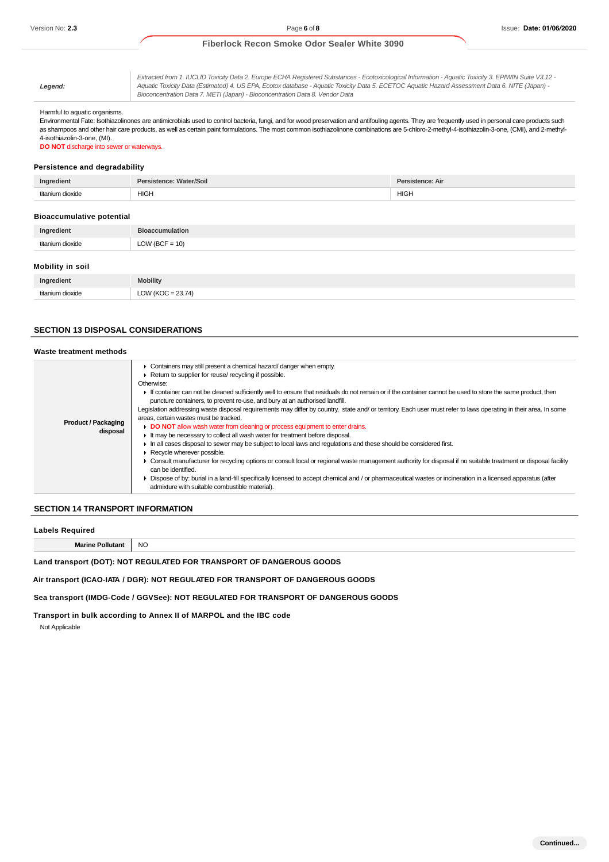**Legend:**

Extracted from 1. IUCLID Toxicity Data 2. Europe ECHA Registered Substances - Ecotoxicological Information - Aquatic Toxicity 3. EPIWIN Suite V3.12 - Aquatic Toxicity Data (Estimated) 4. US EPA, Ecotox database - Aquatic Toxicity Data 5. ECETOC Aquatic Hazard Assessment Data 6. NITE (Japan) - Bioconcentration Data 7. METI (Japan) - Bioconcentration Data 8. Vendor Data

#### Harmful to aquatic organisms.

Environmental Fate: Isothiazolinones are antimicrobials used to control bacteria, fungi, and for wood preservation and antifouling agents. They are frequently used in personal care products such as shampoos and other hair care products, as well as certain paint formulations. The most common isothiazolinone combinations are 5-chloro-2-methyl-4-isothiazolin-3-one, (CMI), and 2-methyl-4-isothiazolin-3-one, (MI).

**DO NOT** discharge into sewer or waterways.

#### **Persistence and degradability**

| $-$<br>Ingredient | stence: Water/Soil<br><b>Persis.</b> | Persistence: Air |
|-------------------|--------------------------------------|------------------|
| titonium d        | <b>HIGH</b>                          | <b>HIGH</b>      |
| dinvida           |                                      |                  |

#### **Bioaccumulative potential**

| redient | $\overline{\phantom{a}}$ |
|---------|--------------------------|
| Ing     | .                        |
| $+ + -$ | 10)<br>$\sim$<br>--      |

#### **Mobility in soil**

| Ingredient       | <b>Mobility</b>                                     |
|------------------|-----------------------------------------------------|
| titanium dioxide | : 23.74<br>110 <sup>o</sup><br><b>LOV</b><br>$\sim$ |

#### **SECTION 13 DISPOSAL CONSIDERATIONS**

| Waste treatment methods                |                                                                                                                                                                                                                                                                                                                                                                                                                                                                                                                                                                                                                                                                                                                                                                                                                                                                                                                                                                                                                                                                                                                                                                                                                                                                                                                                     |  |
|----------------------------------------|-------------------------------------------------------------------------------------------------------------------------------------------------------------------------------------------------------------------------------------------------------------------------------------------------------------------------------------------------------------------------------------------------------------------------------------------------------------------------------------------------------------------------------------------------------------------------------------------------------------------------------------------------------------------------------------------------------------------------------------------------------------------------------------------------------------------------------------------------------------------------------------------------------------------------------------------------------------------------------------------------------------------------------------------------------------------------------------------------------------------------------------------------------------------------------------------------------------------------------------------------------------------------------------------------------------------------------------|--|
| <b>Product / Packaging</b><br>disposal | Containers may still present a chemical hazard/ danger when empty.<br>Return to supplier for reuse/ recycling if possible.<br>Otherwise:<br>If container can not be cleaned sufficiently well to ensure that residuals do not remain or if the container cannot be used to store the same product, then<br>puncture containers, to prevent re-use, and bury at an authorised landfill.<br>Legislation addressing waste disposal requirements may differ by country, state and/or territory. Each user must refer to laws operating in their area. In some<br>areas, certain wastes must be tracked.<br>DO NOT allow wash water from cleaning or process equipment to enter drains.<br>If the may be necessary to collect all wash water for treatment before disposal.<br>In all cases disposal to sewer may be subject to local laws and regulations and these should be considered first.<br>Recycle wherever possible.<br>• Consult manufacturer for recycling options or consult local or regional waste management authority for disposal if no suitable treatment or disposal facility<br>can be identified.<br>Dispose of by: burial in a land-fill specifically licensed to accept chemical and / or pharmaceutical wastes or incineration in a licensed apparatus (after<br>admixture with suitable combustible material). |  |

#### **SECTION 14 TRANSPORT INFORMATION**

| Labels Required                                                      |               |
|----------------------------------------------------------------------|---------------|
| <b>Marine Pollutant</b>                                              | <sub>NC</sub> |
| Land transport (DOT): NOT REGULATED FOR TRANSPORT OF DANGEROUS GOODS |               |

**Air transport (ICAO-IATA / DGR): NOT REGULATED FOR TRANSPORT OF DANGEROUS GOODS**

**Sea transport (IMDG-Code / GGVSee): NOT REGULATED FOR TRANSPORT OF DANGEROUS GOODS**

**Transport in bulk according to Annex II of MARPOL and the IBC code** Not Applicable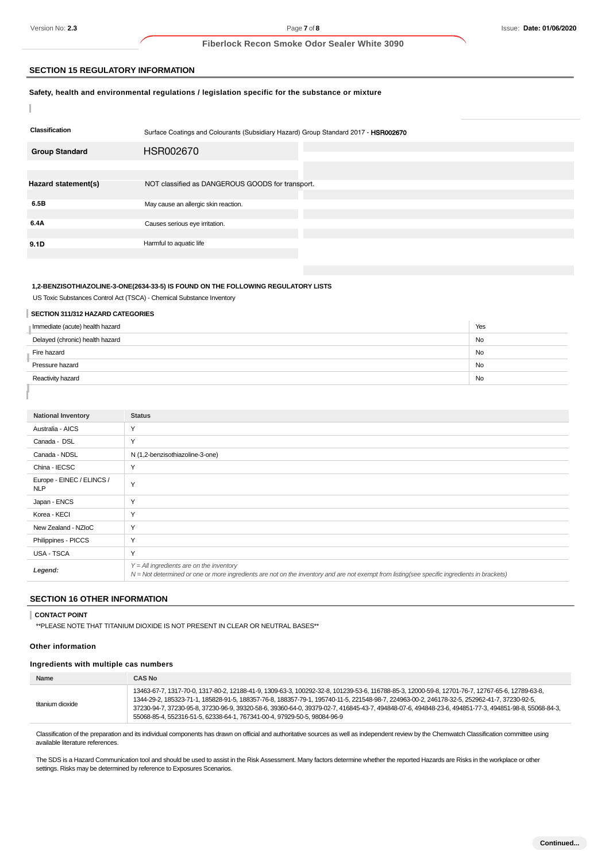I

## **Fiberlock Recon Smoke Odor Sealer White 3090**

#### **SECTION 15 REGULATORY INFORMATION**

#### **Safety, health and environmental regulations / legislation specific for the substance or mixture**

| <b>Classification</b> | Surface Coatings and Colourants (Subsidiary Hazard) Group Standard 2017 - HSR002670 |
|-----------------------|-------------------------------------------------------------------------------------|
| <b>Group Standard</b> | HSR002670                                                                           |
|                       |                                                                                     |
|                       |                                                                                     |
| Hazard statement(s)   | NOT classified as DANGEROUS GOODS for transport.                                    |
|                       |                                                                                     |
| 6.5B                  | May cause an allergic skin reaction.                                                |
|                       |                                                                                     |
| 6.4A                  | Causes serious eye irritation.                                                      |
|                       |                                                                                     |
| 9.1D                  | Harmful to aquatic life                                                             |
|                       |                                                                                     |

## **1,2-BENZISOTHIAZOLINE-3-ONE(2634-33-5) IS FOUND ON THE FOLLOWING REGULATORY LISTS**

US Toxic Substances Control Act (TSCA) - Chemical Substance Inventory

## **SECTION 311/312 HAZARD CATEGORIES**

| Immediate (acute) health hazard | Yes       |
|---------------------------------|-----------|
| Delayed (chronic) health hazard | <b>No</b> |
| Fire hazard                     | <b>No</b> |
| Pressure hazard                 | <b>No</b> |
| Reactivity hazard               | <b>No</b> |
|                                 |           |

| <b>National Inventory</b>               | <b>Status</b>                                                                                                                                                                              |
|-----------------------------------------|--------------------------------------------------------------------------------------------------------------------------------------------------------------------------------------------|
| Australia - AICS                        | Y                                                                                                                                                                                          |
| Canada - DSL                            | Y                                                                                                                                                                                          |
| Canada - NDSL                           | N (1,2-benzisothiazoline-3-one)                                                                                                                                                            |
| China - IECSC                           | Y                                                                                                                                                                                          |
| Europe - EINEC / ELINCS /<br><b>NLP</b> | Y                                                                                                                                                                                          |
| Japan - ENCS                            | Y                                                                                                                                                                                          |
| Korea - KECI                            | Y                                                                                                                                                                                          |
| New Zealand - NZIoC                     | Y                                                                                                                                                                                          |
| Philippines - PICCS                     | Y                                                                                                                                                                                          |
| USA - TSCA                              | Y                                                                                                                                                                                          |
| Legend:                                 | $Y = All$ ingredients are on the inventory<br>N = Not determined or one or more ingredients are not on the inventory and are not exempt from listing(see specific ingredients in brackets) |

## **SECTION 16 OTHER INFORMATION**

#### **CONTACT POINT**

\*\*PLEASE NOTE THAT TITANIUM DIOXIDE IS NOT PRESENT IN CLEAR OR NEUTRAL BASES\*\*

#### **Other information**

## **Ingredients with multiple cas numbers**

| <b>Name</b>      | <b>CAS No</b>                                                                                                                                                                                                                                                                                                                                                                                                                                                                                                                      |
|------------------|------------------------------------------------------------------------------------------------------------------------------------------------------------------------------------------------------------------------------------------------------------------------------------------------------------------------------------------------------------------------------------------------------------------------------------------------------------------------------------------------------------------------------------|
| titanium dioxide | 13463-67-7, 1317-70-0, 1317-80-2, 12188-41-9, 1309-63-3, 100292-32-8, 101239-53-6, 116788-85-3, 12000-59-8, 12701-76-7, 12767-65-6, 12789-63-8,<br>1344-29-2, 185323-71-1, 185828-91-5, 188357-76-8, 188357-79-1, 195740-11-5, 221548-98-7, 224963-00-2, 246178-32-5, 252962-41-7, 37230-92-5,<br>37230-94-7, 37230-95-8, 37230-96-9, 39320-58-6, 39360-64-0, 39379-02-7, 416845-43-7, 494848-07-6, 494848-23-6, 494851-77-3, 494851-98-8, 55068-84-3,<br>55068-85-4, 552316-51-5, 62338-64-1, 767341-00-4, 97929-50-5, 98084-96-9 |

Classification of the preparation and its individual components has drawn on official and authoritative sources as well as independent review by the Chemwatch Classification committee using available literature references.

The SDS is a Hazard Communication tool and should be used to assist in the Risk Assessment. Many factors determine whether the reported Hazards are Risks in the workplace or other settings. Risks may be determined by reference to Exposures Scenarios.